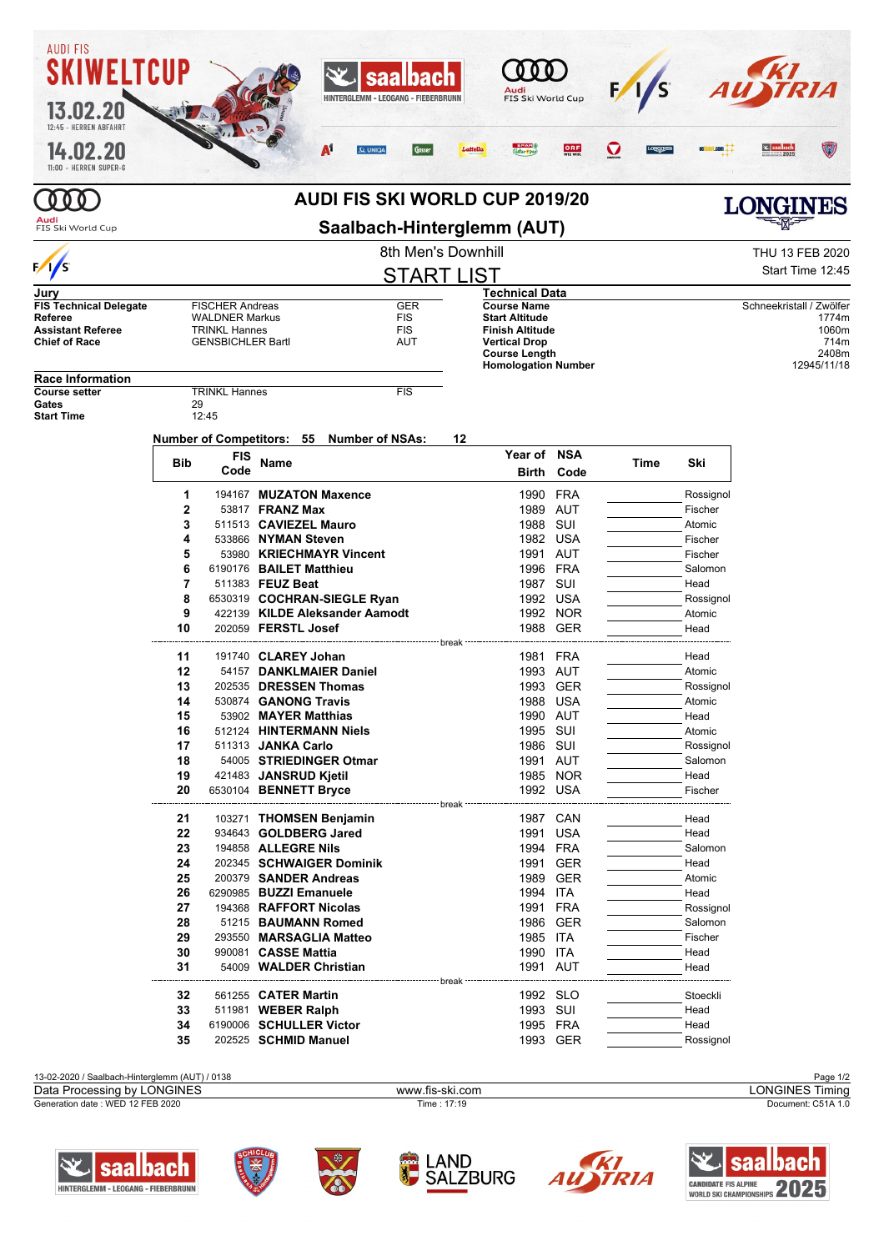| AUDI FIS                                                                                     |            |                                                                                                                                                             |                                                 |             |                |                                                                                                                                                     |          |                                                              |                      |                              |                                                |                  |  |
|----------------------------------------------------------------------------------------------|------------|-------------------------------------------------------------------------------------------------------------------------------------------------------------|-------------------------------------------------|-------------|----------------|-----------------------------------------------------------------------------------------------------------------------------------------------------|----------|--------------------------------------------------------------|----------------------|------------------------------|------------------------------------------------|------------------|--|
| KIWELTCUP<br>.02.20<br>12:45 - HERREN ABFAHRT                                                |            |                                                                                                                                                             |                                                 |             |                | <b>saalbach</b><br>HINTERGLEMM - LEOGANG - FIEBERBRUNN                                                                                              |          | Audi<br>FIS Ski World Cup                                    |                      |                              |                                                |                  |  |
| 14.02.20<br>11:00 - HERREN SUPER-G                                                           |            |                                                                                                                                                             |                                                 | ${\bf A}^1$ | <b>Q UNIGA</b> |                                                                                                                                                     | Lattello | <b>SPAR</b><br>John put                                      | <b>ORF</b><br>WIEWIR |                              |                                                |                  |  |
| Audi<br>FIS Ski World Cup                                                                    |            |                                                                                                                                                             |                                                 |             |                |                                                                                                                                                     |          | <b>AUDI FIS SKI WORLD CUP 2019/20</b>                        |                      |                              |                                                | LONGINES         |  |
|                                                                                              |            |                                                                                                                                                             |                                                 |             |                | 8th Men's Downhill                                                                                                                                  |          | Saalbach-Hinterglemm (AUT)                                   |                      |                              |                                                | THU 13 FEB 2020  |  |
| $\sqrt{s}$                                                                                   |            |                                                                                                                                                             |                                                 |             |                | <u>START LIST</u>                                                                                                                                   |          |                                                              |                      |                              |                                                | Start Time 12:45 |  |
| Jury                                                                                         |            |                                                                                                                                                             |                                                 |             |                |                                                                                                                                                     |          | Technical Data                                               |                      |                              |                                                |                  |  |
| <b>FIS Technical Delegate</b><br>Referee<br><b>Assistant Referee</b><br><b>Chief of Race</b> |            | <b>FISCHER Andreas</b><br><b>GER</b><br><b>WALDNER Markus</b><br><b>FIS</b><br><b>FIS</b><br><b>TRINKL Hannes</b><br><b>GENSBICHLER Bartl</b><br><b>AUT</b> |                                                 |             |                | <b>Course Name</b><br><b>Start Altitude</b><br><b>Finish Altitude</b><br><b>Vertical Drop</b><br><b>Course Length</b><br><b>Homologation Number</b> |          |                                                              |                      | Schneekristall / Zwölfer     | 1774m<br>1060m<br>714m<br>2408m<br>12945/11/18 |                  |  |
| <b>Race Information</b>                                                                      |            |                                                                                                                                                             |                                                 |             |                |                                                                                                                                                     |          |                                                              |                      |                              |                                                |                  |  |
| <b>Course setter</b><br>Gates<br><b>Start Time</b>                                           | 29         | <b>TRINKL Hannes</b><br>12:45                                                                                                                               |                                                 |             |                | <b>FIS</b>                                                                                                                                          |          |                                                              |                      |                              |                                                |                  |  |
|                                                                                              |            | <b>FIS</b>                                                                                                                                                  | Number of Competitors: 55 Number of NSAs:       |             |                |                                                                                                                                                     | 12       | Year of NSA                                                  |                      |                              |                                                |                  |  |
|                                                                                              | <b>Bib</b> | Code                                                                                                                                                        | Name                                            |             |                |                                                                                                                                                     |          | Birth                                                        | Code                 | Time                         | Ski                                            |                  |  |
|                                                                                              | 1          |                                                                                                                                                             | 194167 MUZATON Maxence                          |             |                |                                                                                                                                                     |          |                                                              | 1990 FRA             |                              | Rossignol                                      |                  |  |
|                                                                                              | 2          |                                                                                                                                                             | 53817 <b>FRANZ Max</b>                          |             |                |                                                                                                                                                     |          |                                                              | 1989 AUT             |                              | Fischer                                        |                  |  |
|                                                                                              | 3<br>4     |                                                                                                                                                             | 511513 CAVIEZEL Mauro<br>533866 NYMAN Steven    |             |                |                                                                                                                                                     |          |                                                              | 1988 SUI<br>1982 USA |                              | Atomic<br>Fischer                              |                  |  |
|                                                                                              | 5          |                                                                                                                                                             | 53980 KRIECHMAYR Vincent                        |             |                |                                                                                                                                                     |          |                                                              | 1991 AUT             |                              | Fischer                                        |                  |  |
|                                                                                              | 6          |                                                                                                                                                             | 6190176 BAILET Matthieu                         |             |                |                                                                                                                                                     |          |                                                              | 1996 FRA             |                              | Salomon                                        |                  |  |
|                                                                                              | 7          |                                                                                                                                                             | 511383 FEUZ Beat                                |             |                |                                                                                                                                                     |          | 1987                                                         | SUI                  |                              | Head                                           |                  |  |
|                                                                                              | 8          |                                                                                                                                                             | 6530319 COCHRAN-SIEGLE Ryan                     |             |                |                                                                                                                                                     |          |                                                              | 1992 USA             |                              | Rossignol                                      |                  |  |
|                                                                                              | 9          |                                                                                                                                                             | 422139 KILDE Aleksander Aamodt                  |             |                |                                                                                                                                                     |          |                                                              | 1992 NOR             |                              | Atomic                                         |                  |  |
|                                                                                              | 10         |                                                                                                                                                             | 202059 FERSTL Josef                             |             |                |                                                                                                                                                     | break    |                                                              | 1988 GER             |                              | Head                                           |                  |  |
|                                                                                              | 11         |                                                                                                                                                             | 191740 CLAREY Johan                             |             |                |                                                                                                                                                     |          |                                                              | 1981 FRA             |                              | Head                                           |                  |  |
|                                                                                              | 12         |                                                                                                                                                             | 54157 DANKLMAIER Daniel                         |             |                |                                                                                                                                                     |          |                                                              | 1993 AUT             |                              | Atomic                                         |                  |  |
|                                                                                              | 13         |                                                                                                                                                             | 202535 DRESSEN Thomas                           |             |                |                                                                                                                                                     |          |                                                              | 1993 GER             |                              | Rossignol                                      |                  |  |
|                                                                                              | 14         |                                                                                                                                                             | 530874 GANONG Travis                            |             |                |                                                                                                                                                     |          |                                                              | 1988 USA             |                              | Atomic                                         |                  |  |
|                                                                                              | 15<br>16   |                                                                                                                                                             | 53902 MAYER Matthias<br>512124 HINTERMANN Niels |             |                |                                                                                                                                                     |          |                                                              | 1990 AUT<br>1995 SUI |                              | Head<br>Atomic                                 |                  |  |
|                                                                                              | 17         |                                                                                                                                                             | 511313 JANKA Carlo                              |             |                |                                                                                                                                                     |          |                                                              | 1986 SUI             |                              | Rossignol                                      |                  |  |
|                                                                                              | 18         |                                                                                                                                                             | 54005 STRIEDINGER Otmar                         |             |                |                                                                                                                                                     |          |                                                              | 1991 AUT             |                              | Salomon                                        |                  |  |
|                                                                                              | 19         |                                                                                                                                                             | 421483 JANSRUD Kjetil                           |             |                |                                                                                                                                                     |          |                                                              | 1985 NOR             |                              | Head                                           |                  |  |
|                                                                                              | 20         |                                                                                                                                                             | 6530104 BENNETT Bryce                           |             |                |                                                                                                                                                     |          | --------------------------- break -------------------------- | 1992 USA             | ---------------------------- | Fischer                                        |                  |  |
|                                                                                              | 21         |                                                                                                                                                             | 103271 THOMSEN Benjamin                         |             |                |                                                                                                                                                     |          |                                                              | 1987 CAN             |                              | Head                                           |                  |  |
|                                                                                              | 22         |                                                                                                                                                             | 934643 GOLDBERG Jared                           |             |                |                                                                                                                                                     |          | 1991                                                         | USA                  |                              | Head                                           |                  |  |
|                                                                                              | 23         |                                                                                                                                                             | 194858 ALLEGRE Nils                             |             |                |                                                                                                                                                     |          |                                                              | 1994 FRA             |                              | Salomon                                        |                  |  |
|                                                                                              | 24         |                                                                                                                                                             | 202345 SCHWAIGER Dominik                        |             |                |                                                                                                                                                     |          |                                                              | 1991 GER             |                              | Head                                           |                  |  |
|                                                                                              | 25         |                                                                                                                                                             | 200379 SANDER Andreas                           |             |                |                                                                                                                                                     |          |                                                              | 1989 GER             |                              | Atomic                                         |                  |  |
|                                                                                              | 26<br>27   |                                                                                                                                                             | 6290985 BUZZI Emanuele                          |             |                |                                                                                                                                                     |          |                                                              | 1994 ITA             |                              | Head                                           |                  |  |
|                                                                                              | 28         |                                                                                                                                                             | 194368 RAFFORT Nicolas<br>51215 BAUMANN Romed   |             |                |                                                                                                                                                     |          |                                                              | 1991 FRA<br>1986 GER |                              | Rossignol<br>Salomon                           |                  |  |
|                                                                                              | 29         |                                                                                                                                                             | 293550 MARSAGLIA Matteo                         |             |                |                                                                                                                                                     |          |                                                              | 1985 ITA             |                              | Fischer                                        |                  |  |
|                                                                                              | 30         |                                                                                                                                                             | 990081 CASSE Mattia                             |             |                |                                                                                                                                                     |          |                                                              | 1990 ITA             |                              | Head                                           |                  |  |
|                                                                                              | 31         |                                                                                                                                                             | 54009 WALDER Christian                          |             |                | ----------------------------- break --------------                                                                                                  |          |                                                              | 1991 AUT             | -------------------------    | Head                                           |                  |  |
|                                                                                              | 32         |                                                                                                                                                             | 561255 CATER Martin                             |             |                |                                                                                                                                                     |          |                                                              | 1992 SLO             |                              | Stoeckli                                       |                  |  |
|                                                                                              | 33         |                                                                                                                                                             | 511981 <b>WEBER Ralph</b>                       |             |                |                                                                                                                                                     |          |                                                              | 1993 SUI             |                              | Head                                           |                  |  |
|                                                                                              | 34         |                                                                                                                                                             | 6190006 SCHULLER Victor                         |             |                |                                                                                                                                                     |          |                                                              | 1995 FRA             |                              | Head                                           |                  |  |
|                                                                                              | 35         |                                                                                                                                                             | 202525 SCHMID Manuel                            |             |                |                                                                                                                                                     |          |                                                              | 1993 GER             |                              | Rossignol                                      |                  |  |